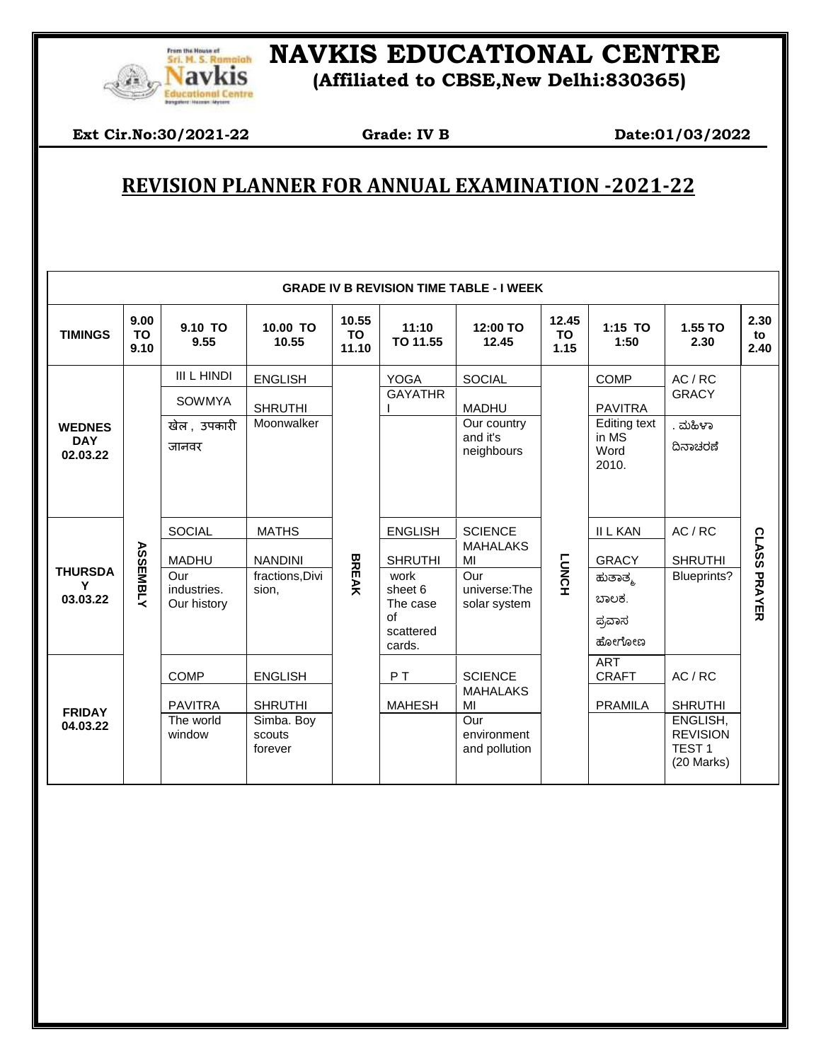

## *ELE Remetah* NAVKIS EDUCATIONAL CENTRE

**Navkis** (Affiliated to CBSE, New Delhi:830365)

**Ext Cir.No:30/2021-22** Grade: **IV B** Date:01/03/2022

 $\overline{\phantom{a}}$ 

## **REVISION PLANNER FOR ANNUAL EXAMINATION -2021-22**

| <b>GRADE IV B REVISION TIME TABLE - I WEEK</b> |                           |                                   |                                 |                             |                                                          |                                       |                     |                                               |                                                                |                     |
|------------------------------------------------|---------------------------|-----------------------------------|---------------------------------|-----------------------------|----------------------------------------------------------|---------------------------------------|---------------------|-----------------------------------------------|----------------------------------------------------------------|---------------------|
| <b>TIMINGS</b>                                 | 9.00<br><b>TO</b><br>9.10 | 9.10 TO<br>9.55                   | 10.00 TO<br>10.55               | 10.55<br><b>TO</b><br>11.10 | 11:10<br>TO 11.55                                        | 12:00 TO<br>12.45                     | 12.45<br>TO<br>1.15 | 1:15 TO<br>1:50                               | 1.55 TO<br>2.30                                                | 2.30<br>to<br>2.40  |
|                                                |                           | III L HINDI                       | <b>ENGLISH</b>                  | <b>BREAK</b>                | <b>YOGA</b>                                              | <b>SOCIAL</b>                         | <b>LUNCH</b>        | <b>COMP</b>                                   | AC / RC                                                        |                     |
|                                                |                           | <b>SOWMYA</b>                     | <b>SHRUTHI</b>                  |                             | <b>GAYATHR</b>                                           | <b>MADHU</b>                          |                     | <b>PAVITRA</b>                                | <b>GRACY</b>                                                   |                     |
| <b>WEDNES</b><br><b>DAY</b><br>02.03.22        |                           | खेल, उपकारी<br>जानवर              | Moonwalker                      |                             |                                                          | Our country<br>and it's<br>neighbours |                     | <b>Editing text</b><br>in MS<br>Word<br>2010. | . ಮಹಿಳಾ<br>ದಿನಾಚರಣೆ                                            |                     |
|                                                | <b>ASSEMBLY</b>           | <b>SOCIAL</b>                     | <b>MATHS</b>                    |                             | <b>ENGLISH</b>                                           | <b>SCIENCE</b>                        |                     | <b>II L KAN</b>                               | AC/RC                                                          |                     |
|                                                |                           | <b>MADHU</b>                      | <b>NANDINI</b>                  |                             | <b>SHRUTHI</b>                                           | <b>MAHALAKS</b><br>MI                 |                     | <b>GRACY</b>                                  | <b>SHRUTHI</b>                                                 |                     |
| <b>THURSDA</b><br>Υ<br>03.03.22                |                           | Our<br>industries.<br>Our history | fractions, Divi<br>sion,        |                             | work<br>sheet 6<br>The case<br>of<br>scattered<br>cards. | Our<br>universe:The<br>solar system   |                     | ಹುತಾತ್ಮ<br>ಬಾಲಕ.<br>ಪ್ರವಾಸ<br>ಹೋಗೋಣ           | Blueprints?                                                    | <b>CLASS PRAYER</b> |
| <b>FRIDAY</b><br>04.03.22                      |                           | <b>COMP</b>                       | <b>ENGLISH</b>                  |                             | PT                                                       | <b>SCIENCE</b>                        |                     | <b>ART</b><br><b>CRAFT</b>                    | AC / RC                                                        |                     |
|                                                |                           | <b>PAVITRA</b>                    | <b>SHRUTHI</b>                  |                             | <b>MAHESH</b>                                            | <b>MAHALAKS</b><br>MI                 |                     | <b>PRAMILA</b>                                | <b>SHRUTHI</b>                                                 |                     |
|                                                |                           | The world<br>window               | Simba. Boy<br>scouts<br>forever |                             |                                                          | Our<br>environment<br>and pollution   |                     |                                               | ENGLISH,<br><b>REVISION</b><br>TEST <sub>1</sub><br>(20 Marks) |                     |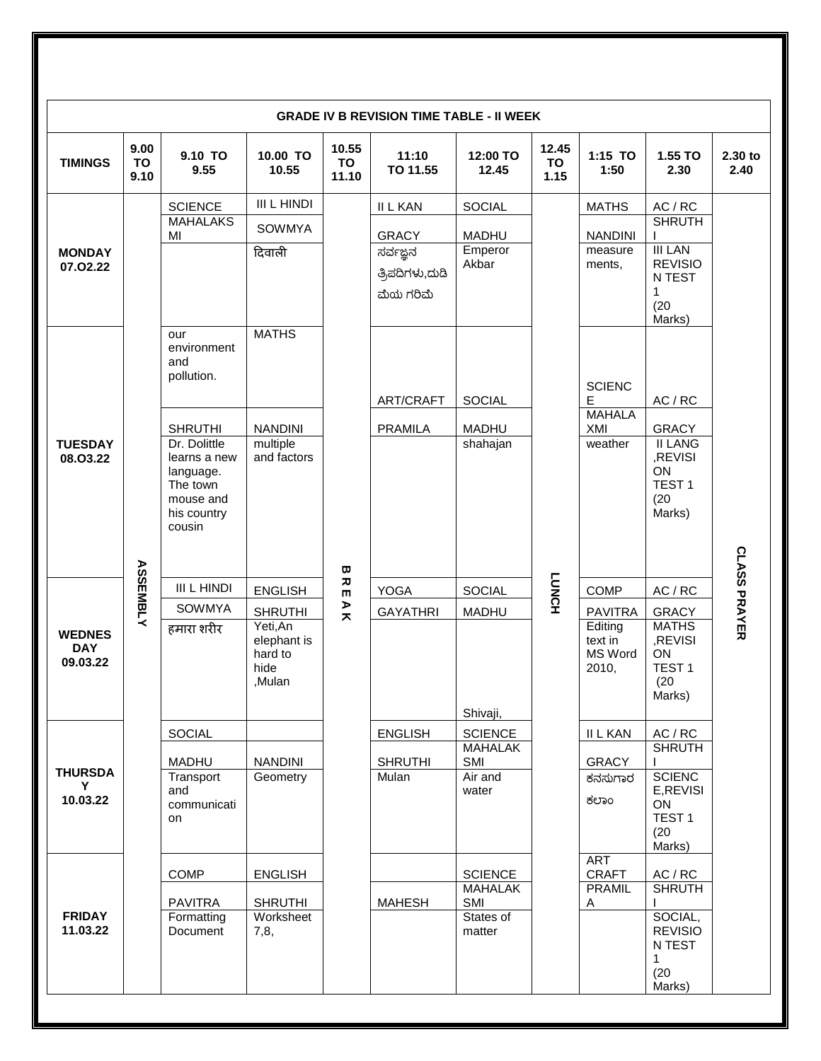| <b>GRADE IV B REVISION TIME TABLE - II WEEK</b> |                    |                                         |                                                      |                      |                   |                                  |                     |                                        |                                                                      |                     |
|-------------------------------------------------|--------------------|-----------------------------------------|------------------------------------------------------|----------------------|-------------------|----------------------------------|---------------------|----------------------------------------|----------------------------------------------------------------------|---------------------|
| <b>TIMINGS</b>                                  | 9.00<br>TO<br>9.10 | 9.10 TO<br>9.55                         | 10.00 TO<br>10.55                                    | 10.55<br>TO<br>11.10 | 11:10<br>TO 11.55 | 12:00 TO<br>12.45                | 12.45<br>TO<br>1.15 | 1:15 TO<br>1:50                        | 1.55 TO<br>2.30                                                      | 2.30 to<br>2.40     |
|                                                 |                    | <b>SCIENCE</b>                          | <b>III L HINDI</b>                                   |                      | <b>II L KAN</b>   | SOCIAL                           |                     | <b>MATHS</b>                           | AC / RC                                                              |                     |
| <b>MONDAY</b><br>07.02.22                       |                    | <b>MAHALAKS</b><br>MI                   | SOWMYA                                               |                      | <b>GRACY</b>      | <b>MADHU</b>                     |                     | <b>NANDINI</b>                         | <b>SHRUTH</b>                                                        |                     |
|                                                 |                    |                                         | दिवाली                                               |                      | ಸರ್ವಜ್ಞನ          | Emperor                          |                     | measure                                | <b>III LAN</b>                                                       |                     |
|                                                 |                    |                                         |                                                      |                      | ತ್ರಿಪದಿಗಳು,ದುಡಿ   | Akbar                            |                     | ments,                                 | <b>REVISIO</b><br>N TEST                                             |                     |
|                                                 |                    |                                         |                                                      |                      | ಮೆಯ ಗರಿಮೆ         |                                  |                     |                                        | $\mathbf{1}$                                                         |                     |
|                                                 |                    |                                         |                                                      |                      |                   |                                  |                     |                                        | (20)<br>Marks)                                                       |                     |
|                                                 |                    | our<br>environment<br>and<br>pollution. | <b>MATHS</b>                                         |                      |                   |                                  |                     |                                        |                                                                      |                     |
|                                                 |                    |                                         |                                                      |                      | ART/CRAFT         | <b>SOCIAL</b>                    |                     | <b>SCIENC</b><br>E                     | AC / RC                                                              |                     |
|                                                 |                    |                                         |                                                      |                      |                   |                                  |                     | <b>MAHALA</b>                          |                                                                      |                     |
| <b>TUESDAY</b>                                  |                    | <b>SHRUTHI</b><br>Dr. Dolittle          | <b>NANDINI</b><br>multiple                           |                      | <b>PRAMILA</b>    | <b>MADHU</b><br>shahajan         |                     | XMI<br>weather                         | <b>GRACY</b><br><b>II LANG</b>                                       |                     |
| 08.03.22                                        |                    | learns a new                            | and factors                                          |                      |                   |                                  |                     |                                        | ,REVISI<br>ON                                                        |                     |
|                                                 |                    | language.<br>The town                   |                                                      |                      |                   |                                  |                     |                                        | TEST <sub>1</sub>                                                    |                     |
|                                                 |                    | mouse and<br>his country                |                                                      |                      |                   |                                  |                     |                                        | (20)<br>Marks)                                                       |                     |
|                                                 |                    | cousin                                  |                                                      |                      |                   |                                  |                     |                                        |                                                                      |                     |
|                                                 |                    |                                         |                                                      | ω                    |                   |                                  |                     |                                        |                                                                      | <b>CLASS PRAYER</b> |
| <b>WEDNES</b><br><b>DAY</b><br>09.03.22         | <b>ASSEMBLY</b>    | <b>III L HINDI</b>                      | <b>ENGLISH</b>                                       | ᅎ<br>$\blacksquare$  | <b>YOGA</b>       | SOCIAL                           | <b>HONOT</b>        | <b>COMP</b>                            | AC / RC                                                              |                     |
|                                                 |                    | SOWMYA                                  | <b>SHRUTHI</b>                                       | A K                  | <b>GAYATHRI</b>   | <b>MADHU</b>                     |                     | <b>PAVITRA</b>                         | <b>GRACY</b>                                                         |                     |
|                                                 |                    | हमारा शरीर                              | Yeti, An<br>elephant is<br>hard to<br>hide<br>,Mulan |                      |                   | Shivaji,                         |                     | Editing<br>text in<br>MS Word<br>2010, | <b>MATHS</b><br>,REVISI<br>ON<br>TEST <sub>1</sub><br>(20)<br>Marks) |                     |
|                                                 |                    | <b>SOCIAL</b>                           |                                                      |                      | <b>ENGLISH</b>    | <b>SCIENCE</b>                   |                     | <b>II L KAN</b>                        | AC / RC                                                              |                     |
|                                                 |                    | <b>MADHU</b>                            | <b>NANDINI</b>                                       |                      | <b>SHRUTHI</b>    | <b>MAHALAK</b><br>SMI            |                     | <b>GRACY</b>                           | <b>SHRUTH</b>                                                        |                     |
| <b>THURSDA</b><br>Y                             |                    | Transport                               | Geometry                                             |                      | Mulan             | Air and                          |                     | ಕನಸುಗಾರ                                | <b>SCIENC</b>                                                        |                     |
| 10.03.22                                        |                    | and<br>communicati                      |                                                      |                      |                   | water                            |                     | ಕಲಾಂ                                   | E, REVISI<br>ON                                                      |                     |
|                                                 |                    | on                                      |                                                      |                      |                   |                                  |                     |                                        | TEST <sub>1</sub>                                                    |                     |
|                                                 |                    |                                         |                                                      |                      |                   |                                  |                     |                                        | (20)<br>Marks)                                                       |                     |
| <b>FRIDAY</b><br>11.03.22                       |                    |                                         |                                                      |                      |                   |                                  |                     | <b>ART</b>                             |                                                                      |                     |
|                                                 |                    | <b>COMP</b>                             | <b>ENGLISH</b>                                       |                      |                   | <b>SCIENCE</b><br><b>MAHALAK</b> |                     | <b>CRAFT</b><br><b>PRAMIL</b>          | AC / RC<br><b>SHRUTH</b>                                             |                     |
|                                                 |                    | <b>PAVITRA</b>                          | <b>SHRUTHI</b>                                       |                      | <b>MAHESH</b>     | SMI                              |                     | Α                                      |                                                                      |                     |
|                                                 |                    | Formatting<br>Document                  | Worksheet<br>7,8,                                    |                      |                   | States of<br>matter              |                     |                                        | SOCIAL,<br><b>REVISIO</b><br>N TEST<br>$\mathbf{1}$                  |                     |
|                                                 |                    |                                         |                                                      |                      |                   |                                  |                     |                                        | (20)<br>Marks)                                                       |                     |